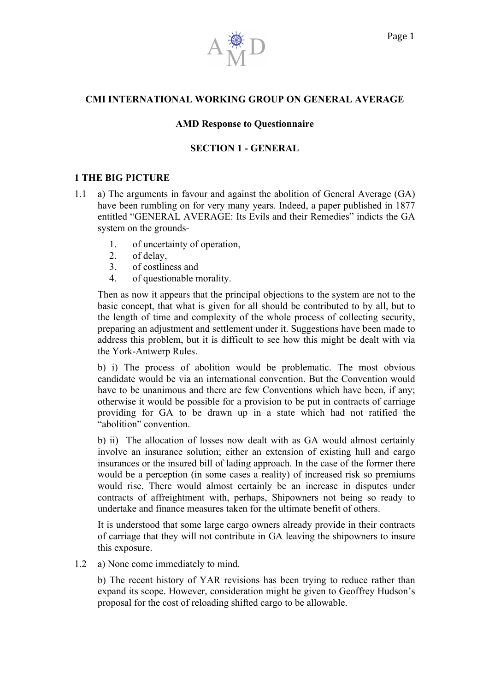

#### **CMI INTERNATIONAL WORKING GROUP ON GENERAL AVERAGE**

### **AMD Response to Questionnaire**

### **SECTION 1 - GENERAL**

#### **1 THE BIG PICTURE**

- 1.1 a) The arguments in favour and against the abolition of General Average (GA) have been rumbling on for very many years. Indeed, a paper published in 1877 entitled "GENERAL AVERAGE: Its Evils and their Remedies" indicts the GA system on the grounds-
	- 1. of uncertainty of operation,
	- 2. of delay,
	- 3. of costliness and
	- 4. of questionable morality.

Then as now it appears that the principal objections to the system are not to the basic concept, that what is given for all should be contributed to by all, but to the length of time and complexity of the whole process of collecting security, preparing an adjustment and settlement under it. Suggestions have been made to address this problem, but it is difficult to see how this might be dealt with via the York-Antwerp Rules.

b) i) The process of abolition would be problematic. The most obvious candidate would be via an international convention. But the Convention would have to be unanimous and there are few Conventions which have been, if any; otherwise it would be possible for a provision to be put in contracts of carriage providing for GA to be drawn up in a state which had not ratified the "abolition" convention.

b) ii) The allocation of losses now dealt with as GA would almost certainly involve an insurance solution; either an extension of existing hull and cargo insurances or the insured bill of lading approach. In the case of the former there would be a perception (in some cases a reality) of increased risk so premiums would rise. There would almost certainly be an increase in disputes under contracts of affreightment with, perhaps, Shipowners not being so ready to undertake and finance measures taken for the ultimate benefit of others.

It is understood that some large cargo owners already provide in their contracts of carriage that they will not contribute in GA leaving the shipowners to insure this exposure.

1.2 a) None come immediately to mind.

b) The recent history of YAR revisions has been trying to reduce rather than expand its scope. However, consideration might be given to Geoffrey Hudson's proposal for the cost of reloading shifted cargo to be allowable.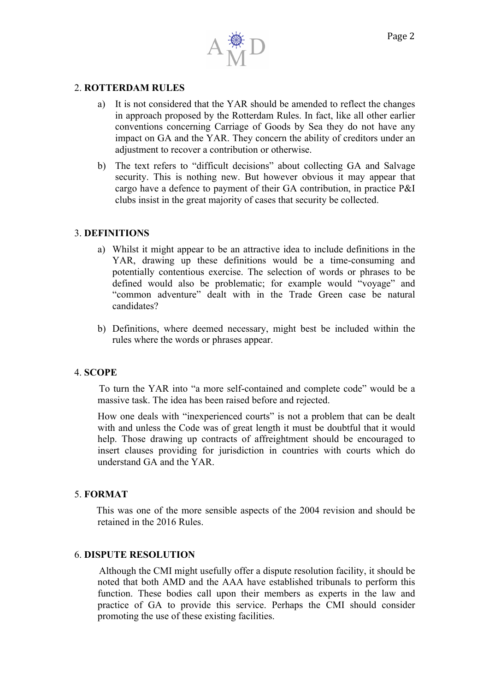

#### 2. **ROTTERDAM RULES**

- a) It is not considered that the YAR should be amended to reflect the changes in approach proposed by the Rotterdam Rules. In fact, like all other earlier conventions concerning Carriage of Goods by Sea they do not have any impact on GA and the YAR. They concern the ability of creditors under an adjustment to recover a contribution or otherwise.
- b) The text refers to "difficult decisions" about collecting GA and Salvage security. This is nothing new. But however obvious it may appear that cargo have a defence to payment of their GA contribution, in practice P&I clubs insist in the great majority of cases that security be collected.

# 3. **DEFINITIONS**

- a) Whilst it might appear to be an attractive idea to include definitions in the YAR, drawing up these definitions would be a time-consuming and potentially contentious exercise. The selection of words or phrases to be defined would also be problematic; for example would "voyage" and "common adventure" dealt with in the Trade Green case be natural candidates?
- b) Definitions, where deemed necessary, might best be included within the rules where the words or phrases appear.

# 4. **SCOPE**

To turn the YAR into "a more self-contained and complete code" would be a massive task. The idea has been raised before and rejected.

How one deals with "inexperienced courts" is not a problem that can be dealt with and unless the Code was of great length it must be doubtful that it would help. Those drawing up contracts of affreightment should be encouraged to insert clauses providing for jurisdiction in countries with courts which do understand GA and the YAR.

# 5. **FORMAT**

This was one of the more sensible aspects of the 2004 revision and should be retained in the 2016 Rules.

# 6. **DISPUTE RESOLUTION**

Although the CMI might usefully offer a dispute resolution facility, it should be noted that both AMD and the AAA have established tribunals to perform this function. These bodies call upon their members as experts in the law and practice of GA to provide this service. Perhaps the CMI should consider promoting the use of these existing facilities.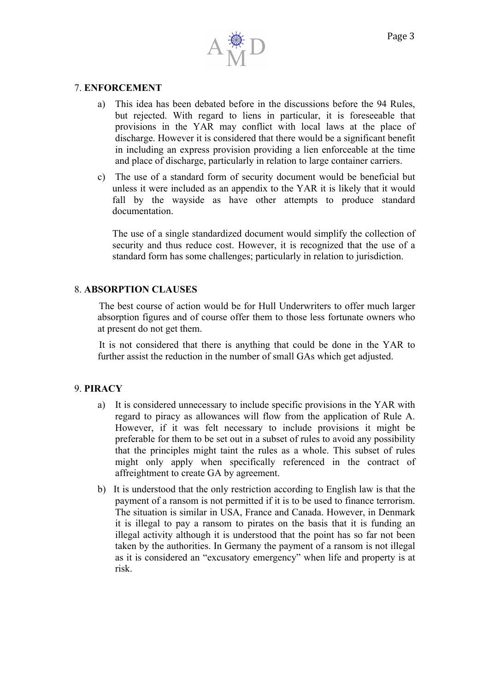

### 7. **ENFORCEMENT**

- a) This idea has been debated before in the discussions before the 94 Rules, but rejected. With regard to liens in particular, it is foreseeable that provisions in the YAR may conflict with local laws at the place of discharge. However it is considered that there would be a significant benefit in including an express provision providing a lien enforceable at the time and place of discharge, particularly in relation to large container carriers.
- c) The use of a standard form of security document would be beneficial but unless it were included as an appendix to the YAR it is likely that it would fall by the wayside as have other attempts to produce standard documentation.

The use of a single standardized document would simplify the collection of security and thus reduce cost. However, it is recognized that the use of a standard form has some challenges; particularly in relation to jurisdiction.

# 8. **ABSORPTION CLAUSES**

The best course of action would be for Hull Underwriters to offer much larger absorption figures and of course offer them to those less fortunate owners who at present do not get them.

It is not considered that there is anything that could be done in the YAR to further assist the reduction in the number of small GAs which get adjusted.

# 9. **PIRACY**

- a) It is considered unnecessary to include specific provisions in the YAR with regard to piracy as allowances will flow from the application of Rule A. However, if it was felt necessary to include provisions it might be preferable for them to be set out in a subset of rules to avoid any possibility that the principles might taint the rules as a whole. This subset of rules might only apply when specifically referenced in the contract of affreightment to create GA by agreement.
- b) It is understood that the only restriction according to English law is that the payment of a ransom is not permitted if it is to be used to finance terrorism. The situation is similar in USA, France and Canada. However, in Denmark it is illegal to pay a ransom to pirates on the basis that it is funding an illegal activity although it is understood that the point has so far not been taken by the authorities. In Germany the payment of a ransom is not illegal as it is considered an "excusatory emergency" when life and property is at risk.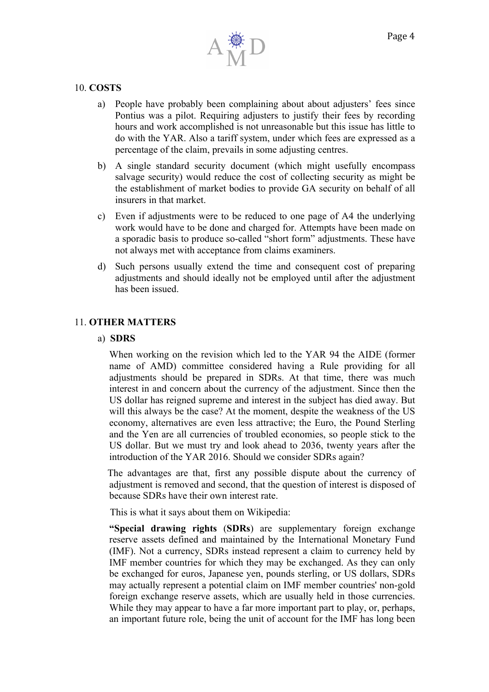

### 10. **COSTS**

- a) People have probably been complaining about about adjusters' fees since Pontius was a pilot. Requiring adjusters to justify their fees by recording hours and work accomplished is not unreasonable but this issue has little to do with the YAR. Also a tariff system, under which fees are expressed as a percentage of the claim, prevails in some adjusting centres.
- b) A single standard security document (which might usefully encompass salvage security) would reduce the cost of collecting security as might be the establishment of market bodies to provide GA security on behalf of all insurers in that market.
- c) Even if adjustments were to be reduced to one page of A4 the underlying work would have to be done and charged for. Attempts have been made on a sporadic basis to produce so-called "short form" adjustments. These have not always met with acceptance from claims examiners.
- d) Such persons usually extend the time and consequent cost of preparing adjustments and should ideally not be employed until after the adjustment has been issued.

# 11. **OTHER MATTERS**

#### a) **SDRS**

When working on the revision which led to the YAR 94 the AIDE (former name of AMD) committee considered having a Rule providing for all adjustments should be prepared in SDRs. At that time, there was much interest in and concern about the currency of the adjustment. Since then the US dollar has reigned supreme and interest in the subject has died away. But will this always be the case? At the moment, despite the weakness of the US economy, alternatives are even less attractive; the Euro, the Pound Sterling and the Yen are all currencies of troubled economies, so people stick to the US dollar. But we must try and look ahead to 2036, twenty years after the introduction of the YAR 2016. Should we consider SDRs again?

The advantages are that, first any possible dispute about the currency of adjustment is removed and second, that the question of interest is disposed of because SDRs have their own interest rate.

This is what it says about them on Wikipedia:

**"Special drawing rights** (**SDRs**) are supplementary foreign exchange reserve assets defined and maintained by the International Monetary Fund (IMF). Not a currency, SDRs instead represent a claim to currency held by IMF member countries for which they may be exchanged. As they can only be exchanged for euros, Japanese yen, pounds sterling, or US dollars, SDRs may actually represent a potential claim on IMF member countries' non-gold foreign exchange reserve assets, which are usually held in those currencies. While they may appear to have a far more important part to play, or, perhaps, an important future role, being the unit of account for the IMF has long been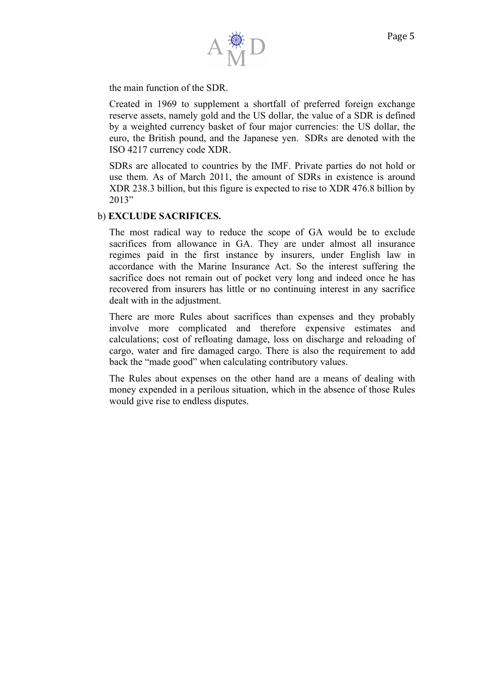

the main function of the SDR.

Created in 1969 to supplement a shortfall of preferred foreign exchange reserve assets, namely gold and the US dollar, the value of a SDR is defined by a weighted currency basket of four major currencies: the US dollar, the euro, the British pound, and the Japanese yen. SDRs are denoted with the ISO 4217 currency code XDR.

SDRs are allocated to countries by the IMF. Private parties do not hold or use them. As of March 2011, the amount of SDRs in existence is around XDR 238.3 billion, but this figure is expected to rise to XDR 476.8 billion by 2013"

#### b) **EXCLUDE SACRIFICES.**

The most radical way to reduce the scope of GA would be to exclude sacrifices from allowance in GA. They are under almost all insurance regimes paid in the first instance by insurers, under English law in accordance with the Marine Insurance Act. So the interest suffering the sacrifice does not remain out of pocket very long and indeed once he has recovered from insurers has little or no continuing interest in any sacrifice dealt with in the adjustment.

There are more Rules about sacrifices than expenses and they probably involve more complicated and therefore expensive estimates and calculations; cost of refloating damage, loss on discharge and reloading of cargo, water and fire damaged cargo. There is also the requirement to add back the "made good" when calculating contributory values.

The Rules about expenses on the other hand are a means of dealing with money expended in a perilous situation, which in the absence of those Rules would give rise to endless disputes.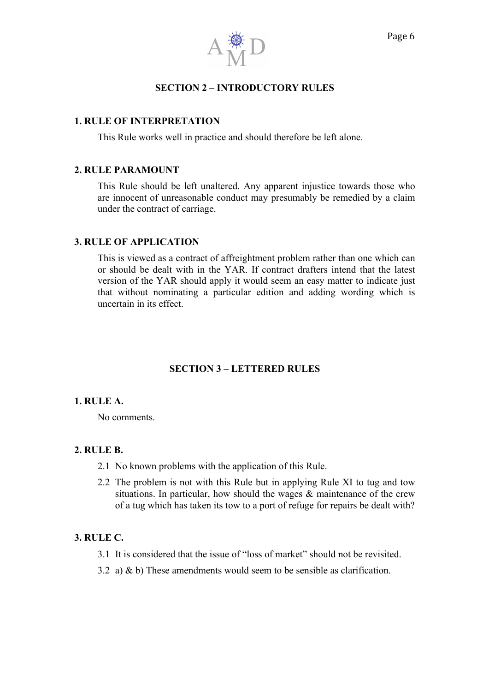

# **SECTION 2 – INTRODUCTORY RULES**

#### **1. RULE OF INTERPRETATION**

This Rule works well in practice and should therefore be left alone.

#### **2. RULE PARAMOUNT**

This Rule should be left unaltered. Any apparent injustice towards those who are innocent of unreasonable conduct may presumably be remedied by a claim under the contract of carriage.

### **3. RULE OF APPLICATION**

This is viewed as a contract of affreightment problem rather than one which can or should be dealt with in the YAR. If contract drafters intend that the latest version of the YAR should apply it would seem an easy matter to indicate just that without nominating a particular edition and adding wording which is uncertain in its effect.

# **SECTION 3 – LETTERED RULES**

#### **1. RULE A.**

No comments.

#### **2. RULE B.**

- 2.1 No known problems with the application of this Rule.
- 2.2 The problem is not with this Rule but in applying Rule XI to tug and tow situations. In particular, how should the wages  $\&$  maintenance of the crew of a tug which has taken its tow to a port of refuge for repairs be dealt with?

# **3. RULE C.**

- 3.1 It is considered that the issue of "loss of market" should not be revisited.
- 3.2 a)  $\&$  b) These amendments would seem to be sensible as clarification.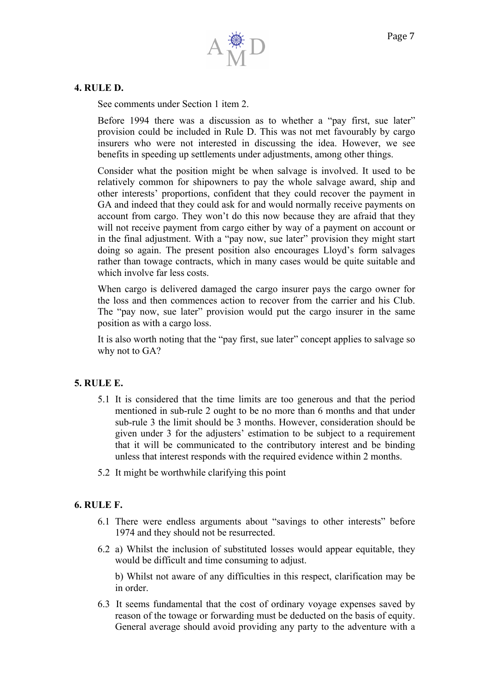

# **4. RULE D.**

See comments under Section 1 item 2.

Before 1994 there was a discussion as to whether a "pay first, sue later" provision could be included in Rule D. This was not met favourably by cargo insurers who were not interested in discussing the idea. However, we see benefits in speeding up settlements under adjustments, among other things.

Consider what the position might be when salvage is involved. It used to be relatively common for shipowners to pay the whole salvage award, ship and other interests' proportions, confident that they could recover the payment in GA and indeed that they could ask for and would normally receive payments on account from cargo. They won't do this now because they are afraid that they will not receive payment from cargo either by way of a payment on account or in the final adjustment. With a "pay now, sue later" provision they might start doing so again. The present position also encourages Lloyd's form salvages rather than towage contracts, which in many cases would be quite suitable and which involve far less costs.

When cargo is delivered damaged the cargo insurer pays the cargo owner for the loss and then commences action to recover from the carrier and his Club. The "pay now, sue later" provision would put the cargo insurer in the same position as with a cargo loss.

It is also worth noting that the "pay first, sue later" concept applies to salvage so why not to GA?

# **5. RULE E.**

- 5.1 It is considered that the time limits are too generous and that the period mentioned in sub-rule 2 ought to be no more than 6 months and that under sub-rule 3 the limit should be 3 months. However, consideration should be given under 3 for the adjusters' estimation to be subject to a requirement that it will be communicated to the contributory interest and be binding unless that interest responds with the required evidence within 2 months.
- 5.2 It might be worthwhile clarifying this point

# **6. RULE F.**

- 6.1 There were endless arguments about "savings to other interests" before 1974 and they should not be resurrected.
- 6.2 a) Whilst the inclusion of substituted losses would appear equitable, they would be difficult and time consuming to adjust.

b) Whilst not aware of any difficulties in this respect, clarification may be in order.

6.3 It seems fundamental that the cost of ordinary voyage expenses saved by reason of the towage or forwarding must be deducted on the basis of equity. General average should avoid providing any party to the adventure with a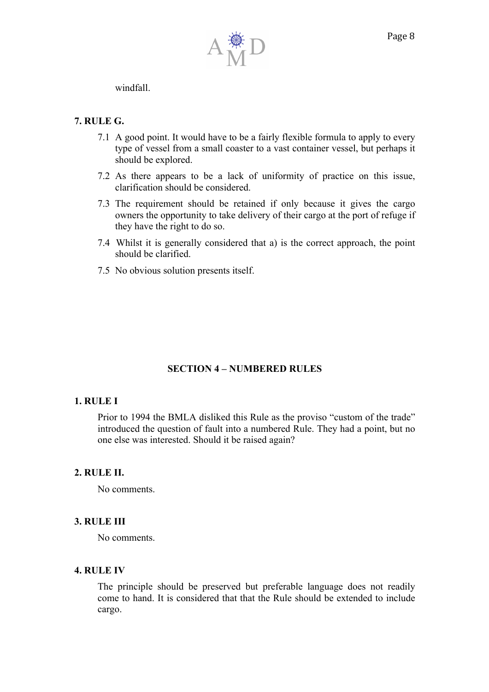

windfall.

# **7. RULE G.**

- 7.1 A good point. It would have to be a fairly flexible formula to apply to every type of vessel from a small coaster to a vast container vessel, but perhaps it should be explored.
- 7.2 As there appears to be a lack of uniformity of practice on this issue, clarification should be considered.
- 7.3 The requirement should be retained if only because it gives the cargo owners the opportunity to take delivery of their cargo at the port of refuge if they have the right to do so.
- 7.4 Whilst it is generally considered that a) is the correct approach, the point should be clarified.
- 7.5 No obvious solution presents itself.

# **SECTION 4 – NUMBERED RULES**

# **1. RULE I**

Prior to 1994 the BMLA disliked this Rule as the proviso "custom of the trade" introduced the question of fault into a numbered Rule. They had a point, but no one else was interested. Should it be raised again?

# **2. RULE II.**

No comments.

# **3. RULE III**

No comments.

#### **4. RULE IV**

The principle should be preserved but preferable language does not readily come to hand. It is considered that that the Rule should be extended to include cargo.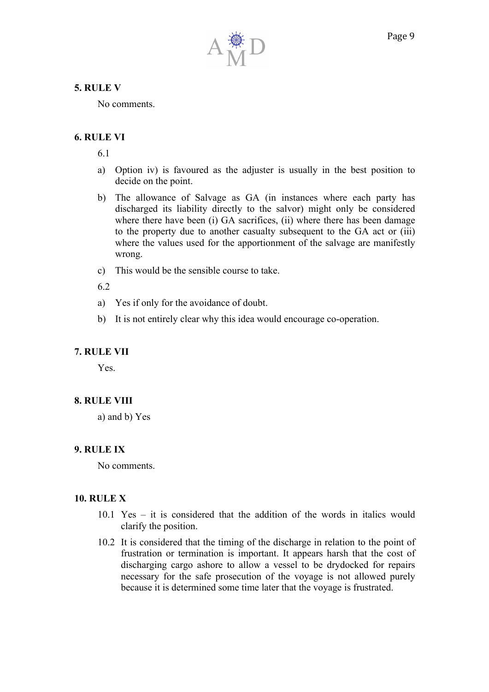

### **5. RULE V**

No comments.

# **6. RULE VI**

6.1

- a) Option iv) is favoured as the adjuster is usually in the best position to decide on the point.
- b) The allowance of Salvage as GA (in instances where each party has discharged its liability directly to the salvor) might only be considered where there have been (i) GA sacrifices, (ii) where there has been damage to the property due to another casualty subsequent to the GA act or (iii) where the values used for the apportionment of the salvage are manifestly wrong.
- c) This would be the sensible course to take.

6.2

- a) Yes if only for the avoidance of doubt.
- b) It is not entirely clear why this idea would encourage co-operation.

# **7. RULE VII**

Yes.

# **8. RULE VIII**

a) and b) Yes

# **9. RULE IX**

No comments.

#### **10. RULE X**

- 10.1 Yes it is considered that the addition of the words in italics would clarify the position.
- 10.2 It is considered that the timing of the discharge in relation to the point of frustration or termination is important. It appears harsh that the cost of discharging cargo ashore to allow a vessel to be drydocked for repairs necessary for the safe prosecution of the voyage is not allowed purely because it is determined some time later that the voyage is frustrated.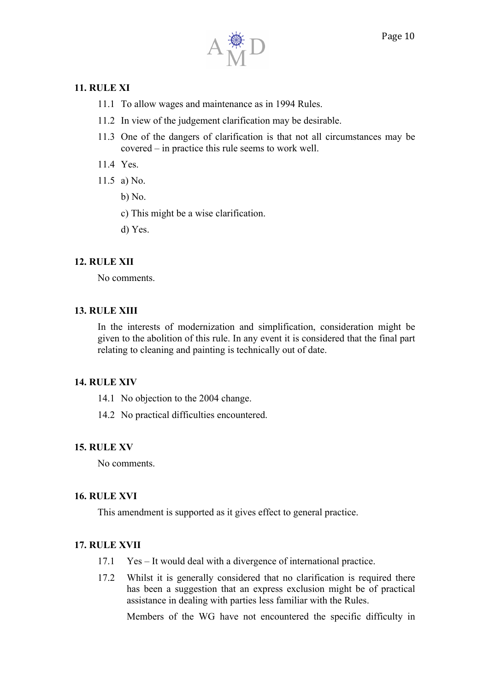

# **11. RULE XI**

- 11.1 To allow wages and maintenance as in 1994 Rules.
- 11.2 In view of the judgement clarification may be desirable.
- 11.3 One of the dangers of clarification is that not all circumstances may be covered – in practice this rule seems to work well.
- 11.4 Yes.
- 11.5 a) No.
	- b) No.

c) This might be a wise clarification.

d) Yes.

# **12. RULE XII**

No comments.

### **13. RULE XIII**

In the interests of modernization and simplification, consideration might be given to the abolition of this rule. In any event it is considered that the final part relating to cleaning and painting is technically out of date.

#### **14. RULE XIV**

- 14.1 No objection to the 2004 change.
- 14.2 No practical difficulties encountered.

#### **15. RULE XV**

No comments.

#### **16. RULE XVI**

This amendment is supported as it gives effect to general practice.

#### **17. RULE XVII**

- 17.1 Yes It would deal with a divergence of international practice.
- 17.2 Whilst it is generally considered that no clarification is required there has been a suggestion that an express exclusion might be of practical assistance in dealing with parties less familiar with the Rules.

Members of the WG have not encountered the specific difficulty in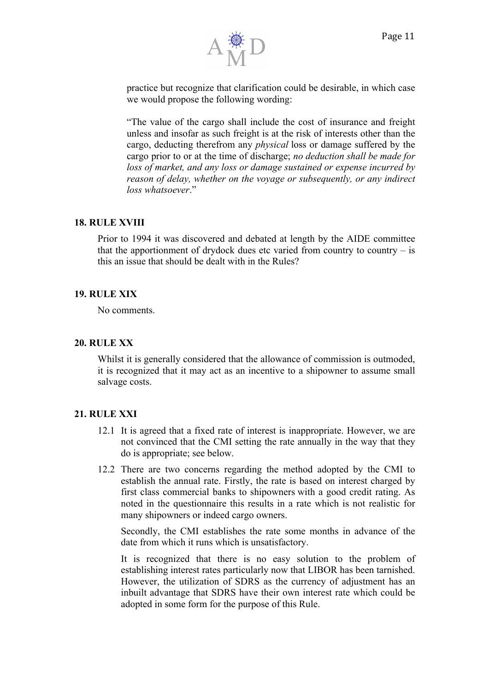

practice but recognize that clarification could be desirable, in which case we would propose the following wording:

"The value of the cargo shall include the cost of insurance and freight unless and insofar as such freight is at the risk of interests other than the cargo, deducting therefrom any *physical* loss or damage suffered by the cargo prior to or at the time of discharge; *no deduction shall be made for loss of market, and any loss or damage sustained or expense incurred by reason of delay, whether on the voyage or subsequently, or any indirect loss whatsoever*."

#### **18. RULE XVIII**

Prior to 1994 it was discovered and debated at length by the AIDE committee that the apportionment of drydock dues etc varied from country to country  $-$  is this an issue that should be dealt with in the Rules?

#### **19. RULE XIX**

No comments.

#### **20. RULE XX**

Whilst it is generally considered that the allowance of commission is outmoded, it is recognized that it may act as an incentive to a shipowner to assume small salvage costs.

#### **21. RULE XXI**

- 12.1 It is agreed that a fixed rate of interest is inappropriate. However, we are not convinced that the CMI setting the rate annually in the way that they do is appropriate; see below.
- 12.2 There are two concerns regarding the method adopted by the CMI to establish the annual rate. Firstly, the rate is based on interest charged by first class commercial banks to shipowners with a good credit rating. As noted in the questionnaire this results in a rate which is not realistic for many shipowners or indeed cargo owners.

Secondly, the CMI establishes the rate some months in advance of the date from which it runs which is unsatisfactory.

It is recognized that there is no easy solution to the problem of establishing interest rates particularly now that LIBOR has been tarnished. However, the utilization of SDRS as the currency of adjustment has an inbuilt advantage that SDRS have their own interest rate which could be adopted in some form for the purpose of this Rule.